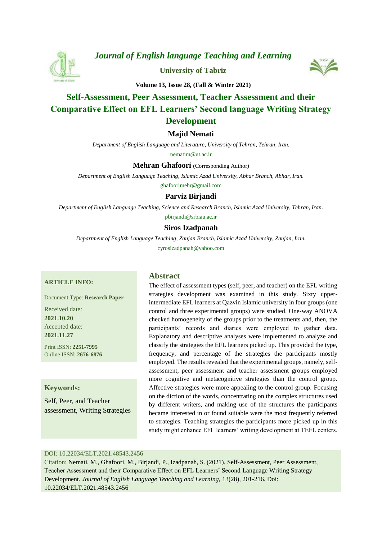

*[Journal of English language Teaching and Learning](https://elt.tabrizu.ac.ir/)*

**[University of Tabriz](https://tabrizu.ac.ir/)**



**Volume 13, Issue 28, (Fall & Winter 2021)**

# **Self-Assessment, Peer Assessment, Teacher Assessment and their Comparative Effect on EFL Learners' Second language Writing Strategy Development**

# **Majid Nemati**

*Department of English Language and Literature, University of Tehran, Tehran, Iran.*

nematim@ut.ac.ir

**Mehran Ghafoori** (Corresponding Author)

*Department of English Language Teaching, Islamic Azad University, Abhar Branch, Abhar, Iran.*

ghafoorimehr@gmail.com

# **Parviz Birjandi**

*Department of English Language Teaching, Science and Research Branch, Islamic Azad University, Tehran, Iran.*

pbirjandi@srbiau.ac.ir

# **[Siros Izadpanah](https://www.orcid.org/0000-0002-2061-8110)**

*Department of English Language Teaching, Zanjan Branch, Islamic Azad University, Zanjan, Iran.* cyrosizadpanah@yahoo.com

#### **ARTICLE INFO:**

Document Type: **Research Paper**

Received date: **2021.10.20** Accepted date: **2021.11.27**

Print ISSN: **2251-7995** Online ISSN: **2676-6876**

# **Keywords:**

Self, Peer, and Teacher assessment, Writing Strategies

### **Abstract**

The effect of assessment types (self, peer, and teacher) on the EFL writing strategies development was examined in this study. Sixty upperintermediate EFL learners at Qazvin Islamic university in four groups (one control and three experimental groups) were studied. One-way ANOVA checked homogeneity of the groups prior to the treatments and, then, the participants' records and diaries were employed to gather data. Explanatory and descriptive analyses were implemented to analyze and classify the strategies the EFL learners picked up. This provided the type, frequency, and percentage of the strategies the participants mostly employed. The results revealed that the experimental groups, namely, selfassessment, peer assessment and teacher assessment groups employed more cognitive and metacognitive strategies than the control group. Affective strategies were more appealing to the control group. Focusing on the diction of the words, concentrating on the complex structures used by different writers, and making use of the structures the participants became interested in or found suitable were the most frequently referred to strategies. Teaching strategies the participants more picked up in this study might enhance EFL learners' writing development at TEFL centers.

### DOI: 10.22034/ELT.2021.48543.2456

Citation: Nemati, M., Ghafoori, M., Birjandi, P., Izadpanah, S. (2021). Self-Assessment, Peer Assessment, Teacher Assessment and their Comparative Effect on EFL Learners' Second Language Writing Strategy Development. *Journal of English Language Teaching and Learning,* 13(28), 201-216. Doi: 10.22034/ELT.2021.48543.2456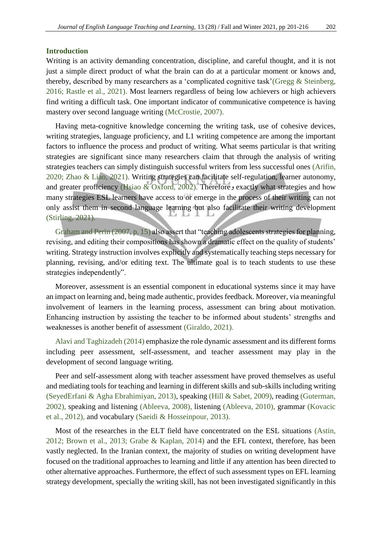#### **Introduction**

Writing is an activity demanding concentration, discipline, and careful thought, and it is not just a simple direct product of what the brain can do at a particular moment or knows and, thereby, described by many researchers as a 'complicated cognitive task['\(Gregg & Steinberg,](#page-12-0)  [2016;](#page-12-0) [Rastle et al., 2021\).](#page-12-1) Most learners regardless of being low achievers or high achievers find writing a difficult task. One important indicator of communicative competence is having mastery over second language writing [\(McCrostie, 2007\).](#page-12-2)

Having meta-cognitive knowledge concerning the writing task, use of cohesive devices, writing strategies, language proficiency, and L1 writing competence are among the important factors to influence the process and product of writing. What seems particular is that writing strategies are significant since many researchers claim that through the analysis of writing strategies teachers can simply distinguish successful writers from less successful ones [\(Arifin,](#page-11-0)  2020; Zhao & Liao, 2021). Writing strategies can facilitate self-regulation, learner autonomy, and greater proficiency [\(Hsiao & Oxford, 2002\).](#page-12-3) Therefore و and greater proficiency (Hsiao & Oxford, 2002). Therefore many strategies ESL learners have access to or emerge in the process of their writing can not only assist them in second language learning but also facilitate their writing development [\(Stirling, 2021\).](#page-12-4)

[Graham and Perin \(2007, p. 15\)](#page-12-5) also assert that "teaching adolescents strategies for planning, revising, and editing their compositions has shown a dramatic effect on the quality of students' writing. Strategy instruction involves explicitly and systematically teaching steps necessary for planning, revising, and/or editing text. The ultimate goal is to teach students to use these strategies independently".

Moreover, assessment is an essential component in educational systems since it may have an impact on learning and, being made authentic, provides feedback. Moreover, via meaningful involvement of learners in the learning process, assessment can bring about motivation. Enhancing instruction by assisting the teacher to be informed about students' strengths and weaknesses is another benefit of assessment [\(Giraldo, 2021\).](#page-11-1)

[Alavi and Taghizadeh \(2014\)](#page-11-2) emphasize the role dynamic assessment and its different forms including peer assessment, self-assessment, and teacher assessment may play in the development of second language writing.

Peer and self-assessment along with teacher assessment have proved themselves as useful and mediating tools for teaching and learning in different skills and sub-skills including writing [\(SeyedErfani & Agha Ebrahimiyan, 2013\),](#page-12-6) speaking [\(Hill & Sabet, 2009\),](#page-12-7) reading [\(Guterman,](#page-12-8)  2002), speaking and listening [\(Ableeva, 2008\),](#page-11-3) listening [\(Ableeva, 2010\),](#page-11-4) grammar [\(Kovacic](#page-12-9)  et al., 2012), and vocabulary [\(Saeidi & Hosseinpour, 2013\).](#page-12-10)

Most of the researches in the ELT field have concentrated on the ESL situations [\(Astin,](#page-11-5)  [2012;](#page-11-5) [Brown et al., 2013;](#page-11-6) [Grabe & Kaplan, 2014\)](#page-11-7) and the EFL context, therefore, has been vastly neglected. In the Iranian context, the majority of studies on writing development have focused on the traditional approaches to learning and little if any attention has been directed to other alternative approaches. Furthermore, the effect of such assessment types on EFL learning strategy development, specially the writing skill, has not been investigated significantly in this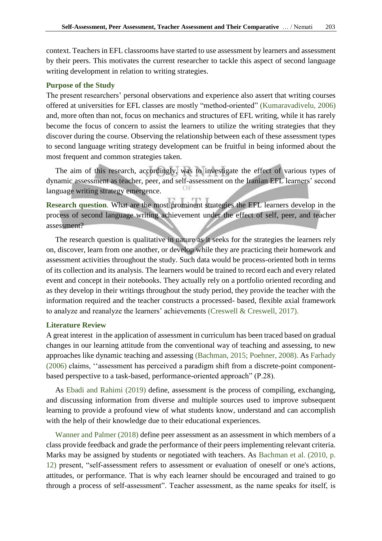context. Teachers in EFL classrooms have started to use assessment by learners and assessment by their peers. This motivates the current researcher to tackle this aspect of second language writing development in relation to writing strategies.

#### **Purpose of the Study**

The present researchers' personal observations and experience also assert that writing courses offered at universities for EFL classes are mostly "method-oriented" [\(Kumaravadivelu, 2006\)](#page-12-11) and, more often than not, focus on mechanics and structures of EFL writing, while it has rarely become the focus of concern to assist the learners to utilize the writing strategies that they discover during the course. Observing the relationship between each of these assessment types to second language writing strategy development can be fruitful in being informed about the most frequent and common strategies taken.

The aim of this research, accordingly, was to investigate the effect of various types of dynamic assessment as teacher, peer, and self-assessment on the Iranian EFL learners' second language writing strategy emergence.

**Research question**. What are the most prominent strategies the EFL learners develop in the process of second language writing achievement under the effect of self, peer, and teacher assessment?

The research question is qualitative in nature as it seeks for the strategies the learners rely on, discover, learn from one another, or develop while they are practicing their homework and assessment activities throughout the study. Such data would be process-oriented both in terms of its collection and its analysis. The learners would be trained to record each and every related event and concept in their notebooks. They actually rely on a portfolio oriented recording and as they develop in their writings throughout the study period, they provide the teacher with the information required and the teacher constructs a processed- based, flexible axial framework to analyze and reanalyze the learners' achievements [\(Creswell & Creswell, 2017\).](#page-11-8)

#### **Literature Review**

A great interest in the application of assessment in curriculum has been traced based on gradual changes in our learning attitude from the conventional way of teaching and assessing, to new approaches like dynamic teaching and assessing [\(Bachman, 2015;](#page-11-9) P[oehner, 2008\)](#page-12-12). As [Farhady](#page-11-10)  (2006) claims, ''assessment has perceived a paradigm shift from a discrete-point componentbased perspective to a task-based, performance-oriented approach" (P.28).

As [Ebadi and Rahimi \(2019\)](#page-11-11) define, assessment is the process of compiling, exchanging, and discussing information from diverse and multiple sources used to improve subsequent learning to provide a profound view of what students know, understand and can accomplish with the help of their knowledge due to their educational experiences.

[Wanner and Palmer \(2018\)](#page-13-0) define peer assessment as an assessment in which members of a class provide feedback and grade the performance of their peers implementing relevant criteria. Marks may be assigned by students or negotiated with teachers. As [Bachman et al. \(2010, p.](#page-11-12)  12) present, "self-assessment refers to assessment or evaluation of oneself or one's actions, attitudes, or performance. That is why each learner should be encouraged and trained to go through a process of self-assessment". Teacher assessment, as the name speaks for itself, is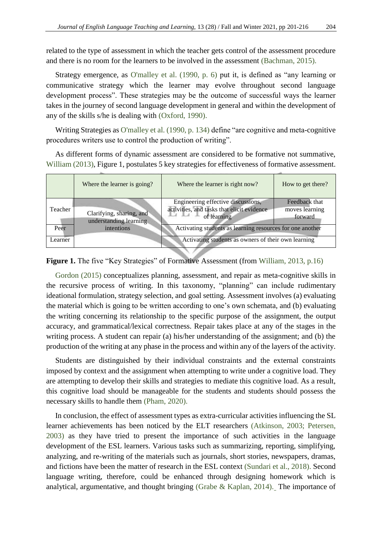related to the type of assessment in which the teacher gets control of the assessment procedure and there is no room for the learners to be involved in the assessment [\(Bachman, 2015\).](#page-11-9)

Strategy emergence, as [O'malley et al. \(1990, p. 6\)](#page-12-13) put it, is defined as "any learning or communicative strategy which the learner may evolve throughout second language development process". These strategies may be the outcome of successful ways the learner takes in the journey of second language development in general and within the development of any of the skills s/he is dealing with [\(Oxford, 1990\).](#page-12-14)

Writing Strategies as [O'malley et al. \(1990, p. 134\)](#page-12-13) define "are cognitive and meta-cognitive procedures writers use to control the production of writing".

As different forms of dynamic assessment are considered to be formative not summative, [William \(2013\),](#page-13-1) Figure 1, postulates 5 key strategies for effectiveness of formative assessment.

|         | Where the learner is going?                        | Where the learner is right now?                                                                 | How to get there?                          |
|---------|----------------------------------------------------|-------------------------------------------------------------------------------------------------|--------------------------------------------|
| Teacher | Clarifying, sharing, and<br>understanding learning | Engineering effective discussions,<br>activities, and tasks that elicit evidence<br>of learning | Feedback that<br>moves learning<br>forward |
| Peer    | intentions                                         | Activating students as learning resources for one another                                       |                                            |
| Learner |                                                    | Activating students as owners of their own learning                                             |                                            |

**Figure 1.** The five "Key Strategies" of Formative Assessment (from [William, 2013, p.16\)](#page-13-1)

[Gordon \(2015\)](#page-11-13) conceptualizes planning, assessment, and repair as meta-cognitive skills in the recursive process of writing. In this taxonomy, "planning" can include rudimentary ideational formulation, strategy selection, and goal setting. Assessment involves (a) evaluating the material which is going to be written according to one's own schemata, and (b) evaluating the writing concerning its relationship to the specific purpose of the assignment, the output accuracy, and grammatical/lexical correctness. Repair takes place at any of the stages in the writing process. A student can repair (a) his/her understanding of the assignment; and (b) the production of the writing at any phase in the process and within any of the layers of the activity.

Students are distinguished by their individual constraints and the external constraints imposed by context and the assignment when attempting to write under a cognitive load. They are attempting to develop their skills and strategies to mediate this cognitive load. As a result, this cognitive load should be manageable for the students and students should possess the necessary skills to handle them [\(Pham, 2020\).](#page-12-15)

In conclusion, the effect of assessment types as extra-curricular activities influencing the SL learner achievements has been noticed by the ELT researchers [\(Atkinson, 2003;](#page-11-14) [Petersen,](#page-12-16)  [2003\)](#page-12-16) as they have tried to present the importance of such activities in the language development of the ESL learners. Various tasks such as summarizing, reporting, simplifying, analyzing, and re-writing of the materials such as journals, short stories, newspapers, dramas, and fictions have been the matter of research in the ESL context [\(Sundari et al., 2018\).](#page-12-17) Second language writing, therefore, could be enhanced through designing homework which is analytical, argumentative, and thought bringing [\(Grabe & Kaplan, 2014\).](#page-11-7) The importance of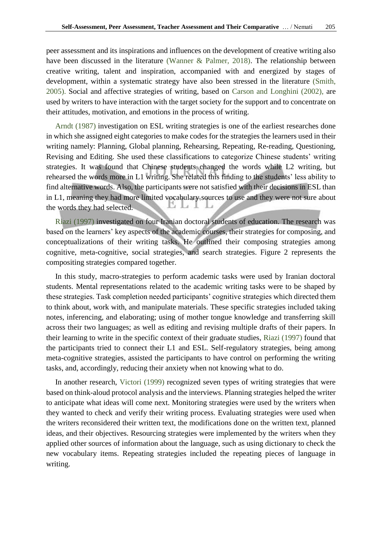peer assessment and its inspirations and influences on the development of creative writing also have been discussed in the literature [\(Wanner & Palmer, 2018\).](#page-13-0) The relationship between creative writing, talent and inspiration, accompanied with and energized by stages of development, within a systematic strategy have also been stressed in the literature [\(Smith,](#page-12-18)  2005). Social and affective strategies of writing, based on [Carson and Longhini \(2002\),](#page-11-15) are used by writers to have interaction with the target society for the support and to concentrate on their attitudes, motivation, and emotions in the process of writing.

[Arndt \(1987\)](#page-11-16) investigation on ESL writing strategies is one of the earliest researches done in which she assigned eight categories to make codes for the strategies the learners used in their writing namely: Planning, Global planning, Rehearsing, Repeating, Re-reading, Questioning, Revising and Editing. She used these classifications to categorize Chinese students' writing strategies. It was found that Chinese students changed the words while L2 writing, but rehearsed the words more in L1 writing. She related this finding to the students' less ability to find alternative words. Also, the participants were not satisfied with their decisions in ESL than in L1, meaning they had more limited vocabulary sources to use and they were not sure about D. the words they had selected.

[Riazi \(1997\)](#page-12-19) investigated on four Iranian doctoral students of education. The research was based on the learners' key aspects of the academic courses, their strategies for composing, and conceptualizations of their writing tasks. He outlined their composing strategies among cognitive, meta-cognitive, social strategies, and search strategies. Figure 2 represents the compositing strategies compared together.

In this study, macro-strategies to perform academic tasks were used by Iranian doctoral students. Mental representations related to the academic writing tasks were to be shaped by these strategies. Task completion needed participants' cognitive strategies which directed them to think about, work with, and manipulate materials. These specific strategies included taking notes, inferencing, and elaborating; using of mother tongue knowledge and transferring skill across their two languages; as well as editing and revising multiple drafts of their papers. In their learning to write in the specific context of their graduate studies, [Riazi \(1997\)](#page-12-19) found that the participants tried to connect their L1 and ESL. Self-regulatory strategies, being among meta-cognitive strategies, assisted the participants to have control on performing the writing tasks, and, accordingly, reducing their anxiety when not knowing what to do.

In another research, [Victori \(1999\)](#page-12-20) recognized seven types of writing strategies that were based on think-aloud protocol analysis and the interviews. Planning strategies helped the writer to anticipate what ideas will come next. Monitoring strategies were used by the writers when they wanted to check and verify their writing process. Evaluating strategies were used when the writers reconsidered their written text, the modifications done on the written text, planned ideas, and their objectives. Resourcing strategies were implemented by the writers when they applied other sources of information about the language, such as using dictionary to check the new vocabulary items. Repeating strategies included the repeating pieces of language in writing.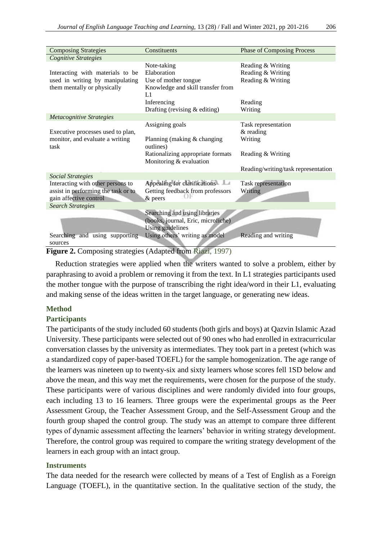| <b>Composing Strategies</b>                                                                                                    | Constituents                                                                                                                  | <b>Phase of Composing Process</b>                                                                         |
|--------------------------------------------------------------------------------------------------------------------------------|-------------------------------------------------------------------------------------------------------------------------------|-----------------------------------------------------------------------------------------------------------|
| Cognitive Strategies                                                                                                           |                                                                                                                               |                                                                                                           |
| Interacting with materials to be<br>used in writing by manipulating<br>them mentally or physically                             | Note-taking<br>Elaboration<br>Use of mother tongue<br>Knowledge and skill transfer from<br>L1<br>Inferencing                  | Reading & Writing<br>Reading & Writing<br>Reading & Writing<br>Reading                                    |
|                                                                                                                                | Drafting (revising $&$ editing)                                                                                               | Writing                                                                                                   |
| <b>Metacognitive Strategies</b>                                                                                                |                                                                                                                               |                                                                                                           |
| Executive processes used to plan,<br>monitor, and evaluate a writing<br>task                                                   | Assigning goals<br>Planning (making $&$ changing<br>outlines)<br>Rationalizing appropriate formats<br>Monitoring & evaluation | Task representation<br>$&$ reading<br>Writing<br>Reading & Writing<br>Reading/writing/task representation |
| <b>Social Strategies</b>                                                                                                       |                                                                                                                               |                                                                                                           |
| Interacting with other persons to<br>assist in performing the task or to<br>gain affective control<br><b>Search Strategies</b> | Appealing for clarifications<br>Getting feedback from professors<br>& peers                                                   | Task representation<br>Writing                                                                            |
|                                                                                                                                | Searching and using libraries                                                                                                 |                                                                                                           |
| Searching and using supporting                                                                                                 | (books, journal, Eric, microfiche)<br>Using guidelines<br>Using others' writing as model                                      | Reading and writing                                                                                       |
| sources                                                                                                                        |                                                                                                                               |                                                                                                           |
|                                                                                                                                | $m + 1$<br>$\mathbf{1}$ $\mathbf{c}$<br>(1007)<br>$\sqrt{1}$                                                                  |                                                                                                           |

**Figure 2.** Composing strategies (Adapted from [Riazi, 1997\)](#page-12-19)

Reduction strategies were applied when the writers wanted to solve a problem, either by paraphrasing to avoid a problem or removing it from the text. In L1 strategies participants used the mother tongue with the purpose of transcribing the right idea/word in their L1, evaluating and making sense of the ideas written in the target language, or generating new ideas.

### **Method**

### **Participants**

The participants of the study included 60 students (both girls and boys) at Qazvin Islamic Azad University. These participants were selected out of 90 ones who had enrolled in extracurricular conversation classes by the university as intermediates. They took part in a pretest (which was a standardized copy of paper-based TOEFL) for the sample homogenization. The age range of the learners was nineteen up to twenty-six and sixty learners whose scores fell 1SD below and above the mean, and this way met the requirements, were chosen for the purpose of the study. These participants were of various disciplines and were randomly divided into four groups, each including 13 to 16 learners. Three groups were the experimental groups as the Peer Assessment Group, the Teacher Assessment Group, and the Self-Assessment Group and the fourth group shaped the control group. The study was an attempt to compare three different types of dynamic assessment affecting the learners' behavior in writing strategy development. Therefore, the control group was required to compare the writing strategy development of the learners in each group with an intact group.

### **Instruments**

The data needed for the research were collected by means of a Test of English as a Foreign Language (TOEFL), in the quantitative section. In the qualitative section of the study, the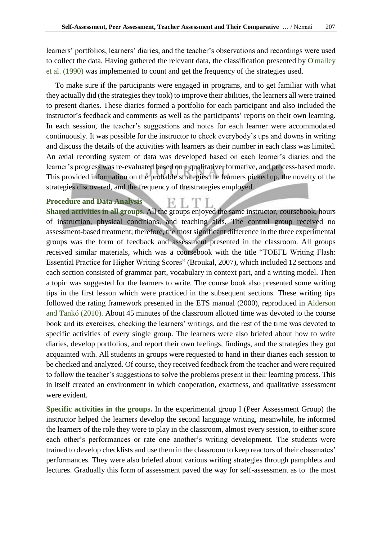learners' portfolios, learners' diaries, and the teacher's observations and recordings were used to collect the data. Having gathered the relevant data, the classification presented by [O'malley](#page-12-13)  et al. (1990) was implemented to count and get the frequency of the strategies used.

To make sure if the participants were engaged in programs, and to get familiar with what they actually did (the strategies they took) to improve their abilities, the learners all were trained to present diaries. These diaries formed a portfolio for each participant and also included the instructor's feedback and comments as well as the participants' reports on their own learning. In each session, the teacher's suggestions and notes for each learner were accommodated continuously. It was possible for the instructor to check everybody's ups and downs in writing and discuss the details of the activities with learners as their number in each class was limited. An axial recording system of data was developed based on each learner's diaries and the learner's progress was re-evaluated based on a qualitative, formative, and process-based mode. This provided information on the probable strategies the learners picked up, the novelty of the strategies discovered, and the frequency of the strategies employed.

K.

# **Procedure and Data Analysis**

**Shared activities in all groups**. All the groups enjoyed the same instructor, coursebook, hours of instruction, physical conditions, and teaching aids. The control group received no assessment-based treatment; therefore, the most significant difference in the three experimental groups was the form of feedback and assessment presented in the classroom. All groups received similar materials, which was a coursebook with the title "TOEFL Writing Flash: Essential Practice for Higher Writing Scores" (Broukal, 2007), which included 12 sections and each section consisted of grammar part, vocabulary in context part, and a writing model. Then a topic was suggested for the learners to write. The course book also presented some writing tips in the first lesson which were practiced in the subsequent sections. These writing tips followed the rating framework presented in the ETS manual (2000), reproduced in [Alderson](#page-11-17)  [and Tankó \(2010\)](#page-11-17). About 45 minutes of the classroom allotted time was devoted to the course book and its exercises, checking the learners' writings, and the rest of the time was devoted to specific activities of every single group. The learners were also briefed about how to write diaries, develop portfolios, and report their own feelings, findings, and the strategies they got acquainted with. All students in groups were requested to hand in their diaries each session to be checked and analyzed. Of course, they received feedback from the teacher and were required to follow the teacher's suggestions to solve the problems present in their learning process. This in itself created an environment in which cooperation, exactness, and qualitative assessment were evident.

**Specific activities in the groups.** In the experimental group I (Peer Assessment Group) the instructor helped the learners develop the second language writing, meanwhile, he informed the learners of the role they were to play in the classroom, almost every session, to either score each other's performances or rate one another's writing development. The students were trained to develop checklists and use them in the classroom to keep reactors of their classmates' performances. They were also briefed about various writing strategies through pamphlets and lectures. Gradually this form of assessment paved the way for self-assessment as to the most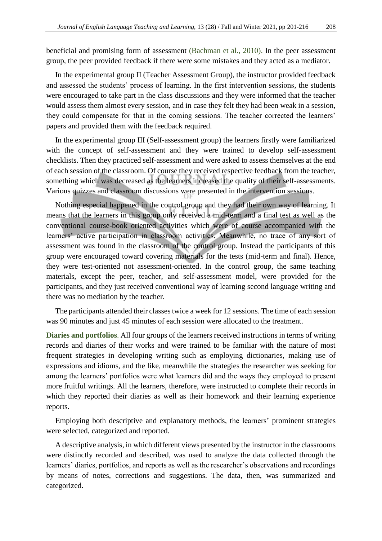beneficial and promising form of assessment [\(Bachman et al., 2010\).](#page-11-12) In the peer assessment group, the peer provided feedback if there were some mistakes and they acted as a mediator.

In the experimental group II (Teacher Assessment Group), the instructor provided feedback and assessed the students' process of learning. In the first intervention sessions, the students were encouraged to take part in the class discussions and they were informed that the teacher would assess them almost every session, and in case they felt they had been weak in a session, they could compensate for that in the coming sessions. The teacher corrected the learners' papers and provided them with the feedback required.

In the experimental group III (Self-assessment group) the learners firstly were familiarized with the concept of self-assessment and they were trained to develop self-assessment checklists. Then they practiced self-assessment and were asked to assess themselves at the end of each session of the classroom. Of course they received respective feedback from the teacher, something which was decreased as the learners increased the quality of their self-assessments. Various quizzes and classroom discussions were presented in the intervention sessions.

Nothing especial happened in the control group and they had their own way of learning. It means that the learners in this group only received a mid-term and a final test as well as the conventional course-book oriented activities which were of course accompanied with the learners' active participation in classroom activities. Meanwhile, no trace of any sort of assessment was found in the classroom of the control group. Instead the participants of this group were encouraged toward covering materials for the tests (mid-term and final). Hence, they were test-oriented not assessment-oriented. In the control group, the same teaching materials, except the peer, teacher, and self-assessment model, were provided for the participants, and they just received conventional way of learning second language writing and there was no mediation by the teacher.

The participants attended their classes twice a week for 12 sessions. The time of each session was 90 minutes and just 45 minutes of each session were allocated to the treatment.

**Diaries and portfolios**. All four groups of the learners received instructions in terms of writing records and diaries of their works and were trained to be familiar with the nature of most frequent strategies in developing writing such as employing dictionaries, making use of expressions and idioms, and the like, meanwhile the strategies the researcher was seeking for among the learners' portfolios were what learners did and the ways they employed to present more fruitful writings. All the learners, therefore, were instructed to complete their records in which they reported their diaries as well as their homework and their learning experience reports.

Employing both descriptive and explanatory methods, the learners' prominent strategies were selected, categorized and reported.

A descriptive analysis, in which different views presented by the instructor in the classrooms were distinctly recorded and described, was used to analyze the data collected through the learners' diaries, portfolios, and reports as well as the researcher's observations and recordings by means of notes, corrections and suggestions. The data, then, was summarized and categorized.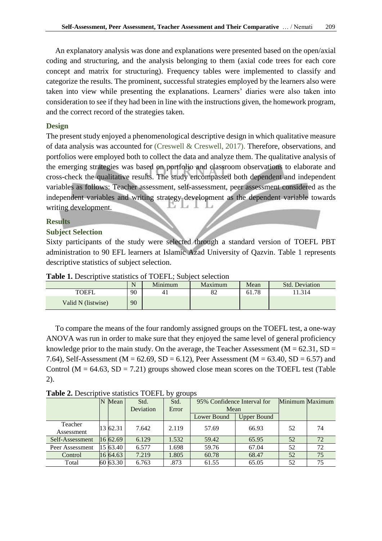An explanatory analysis was done and explanations were presented based on the open/axial coding and structuring, and the analysis belonging to them (axial code trees for each core concept and matrix for structuring). Frequency tables were implemented to classify and categorize the results. The prominent, successful strategies employed by the learners also were taken into view while presenting the explanations. Learners' diaries were also taken into consideration to see if they had been in line with the instructions given, the homework program, and the correct record of the strategies taken.

# **Design**

The present study enjoyed a phenomenological descriptive design in which qualitative measure of data analysis was accounted for [\(Creswell & Creswell, 2017\).](#page-11-8) Therefore, observations, and portfolios were employed both to collect the data and analyze them. The qualitative analysis of the emerging strategies was based on portfolio and classroom observations to elaborate and cross-check the qualitative results. The study encompassed both dependent and independent variables as follows: Teacher assessment, self-assessment, peer assessment considered as the independent variables and writing strategy development as the dependent variable towards writing development.

### **Results**

### **Subject Selection**

Sixty participants of the study were selected through a standard version of TOEFL PBT administration to 90 EFL learners at Islamic Azad University of Qazvin. Table 1 represents descriptive statistics of subject selection.

|                    | $\mathbf{1}$ | Minimum | <b>Maximum</b> | Mean  | <b>Std. Deviation</b> |
|--------------------|--------------|---------|----------------|-------|-----------------------|
| <b>TOEFI</b>       | 90           | 41      | $\circ$<br>o∠  | 61.78 | .1.314                |
| Valid N (listwise) | 90           |         |                |       |                       |

**Table 1.** Descriptive statistics of TOEFL; Subject selection

To compare the means of the four randomly assigned groups on the TOEFL test, a one-way ANOVA was run in order to make sure that they enjoyed the same level of general proficiency knowledge prior to the main study. On the average, the Teacher Assessment ( $M = 62.31$ , SD = 7.64), Self-Assessment ( $M = 62.69$ ,  $SD = 6.12$ ), Peer Assessment ( $M = 63.40$ ,  $SD = 6.57$ ) and Control ( $M = 64.63$ ,  $SD = 7.21$ ) groups showed close mean scores on the TOEFL test (Table 2).

**Table 2.** Descriptive statistics TOEFL by groups

|                 | Mean        | Std.      | Std.  | 95% Confidence Interval for | Minimum Maximum    |    |    |
|-----------------|-------------|-----------|-------|-----------------------------|--------------------|----|----|
|                 |             | Deviation | Error | Mean                        |                    |    |    |
|                 |             |           |       | Lower Bound                 | <b>Upper Bound</b> |    |    |
| Teacher         | 13 62.31    | 7.642     | 2.119 | 57.69                       | 66.93              | 52 | 74 |
| Assessment      |             |           |       |                             |                    |    |    |
| Self-Assessment | 16 62.69    | 6.129     | 1.532 | 59.42                       | 65.95              | 52 | 72 |
| Peer Assessment | $15\,63.40$ | 6.577     | 1.698 | 59.76                       | 67.04              | 52 | 72 |
| Control         | 16 64.63    | 7.219     | 1.805 | 60.78                       | 68.47              | 52 | 75 |
| Total           | 60 63.30    | 6.763     | .873  | 61.55                       | 65.05              | 52 | 75 |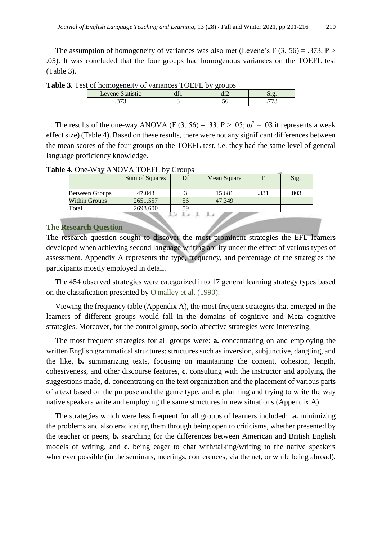The assumption of homogeneity of variances was also met (Levene's F  $(3, 56) = .373$ , P > .05). It was concluded that the four groups had homogenous variances on the TOEFL test (Table 3).

| est of homogeneity of variances TOETE by groups |  |  |  |  |  |  |  |  |  |  |
|-------------------------------------------------|--|--|--|--|--|--|--|--|--|--|
| Levene Statistic                                |  |  |  |  |  |  |  |  |  |  |
|                                                 |  |  |  |  |  |  |  |  |  |  |

**Table 3.** Test of homogeneity of variances TOEFL by groups

The results of the one-way ANOVA (F  $(3, 56) = .33$ , P > .05;  $\omega^2 = .03$  it represents a weak effect size) (Table 4). Based on these results, there were not any significant differences between the mean scores of the four groups on the TOEFL test, i.e. they had the same level of general language proficiency knowledge.

**Table 4.** One-Way ANOVA TOEFL by Groups

|                       | Sum of Squares | Df<br>Mean Square |        |      | Sig. |
|-----------------------|----------------|-------------------|--------|------|------|
|                       |                |                   |        |      |      |
| <b>Between Groups</b> | 47.043         |                   | 15.681 | .331 | .803 |
| <b>Within Groups</b>  | 2651.557       | 56                | 47.349 |      |      |
| Total                 | 2698.600       | 59                |        |      |      |
|                       |                |                   |        |      |      |

# **The Research Question**

The research question sought to discover the most prominent strategies the EFL learners developed when achieving second language writing ability under the effect of various types of assessment. Appendix A represents the type, frequency, and percentage of the strategies the participants mostly employed in detail.

The 454 observed strategies were categorized into 17 general learning strategy types based on the classification presented by [O'malley et al. \(1990\).](#page-12-13)

Viewing the frequency table (Appendix A), the most frequent strategies that emerged in the learners of different groups would fall in the domains of cognitive and Meta cognitive strategies. Moreover, for the control group, socio-affective strategies were interesting.

The most frequent strategies for all groups were: **a.** concentrating on and employing the written English grammatical structures: structures such as inversion, subjunctive, dangling, and the like, **b.** summarizing texts, focusing on maintaining the content, cohesion, length, cohesiveness, and other discourse features, **c.** consulting with the instructor and applying the suggestions made, **d.** concentrating on the text organization and the placement of various parts of a text based on the purpose and the genre type, and **e.** planning and trying to write the way native speakers write and employing the same structures in new situations (Appendix A).

The strategies which were less frequent for all groups of learners included: **a.** minimizing the problems and also eradicating them through being open to criticisms, whether presented by the teacher or peers, **b.** searching for the differences between American and British English models of writing, and **c.** being eager to chat with/talking/writing to the native speakers whenever possible (in the seminars, meetings, conferences, via the net, or while being abroad).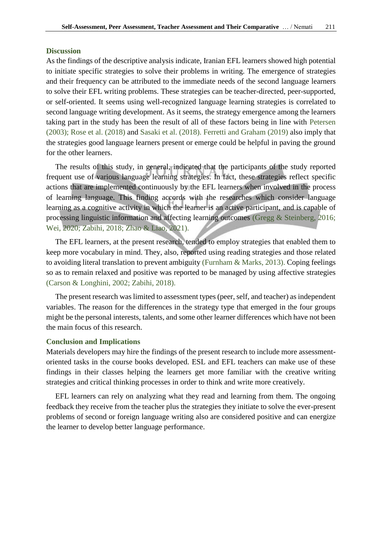#### **Discussion**

As the findings of the descriptive analysis indicate, Iranian EFL learners showed high potential to initiate specific strategies to solve their problems in writing. The emergence of strategies and their frequency can be attributed to the immediate needs of the second language learners to solve their EFL writing problems. These strategies can be teacher-directed, peer-supported, or self-oriented. It seems using well-recognized language learning strategies is correlated to second language writing development. As it seems, the strategy emergence among the learners taking part in the study has been the result of all of these factors being in line with [Petersen](#page-12-16)  (2003); [Rose et al. \(2018\)](#page-12-21) and [Sasaki et al. \(2018\).](#page-12-22) [Ferretti and Graham \(2019\)](#page-11-18) also imply that the strategies good language learners present or emerge could be helpful in paving the ground for the other learners.

The results of this study, in general, indicated that the participants of the study reported frequent use of various language learning strategies. In fact, these strategies reflect specific actions that are implemented continuously by the EFL learners when involved in the process of learning language. This finding accords with the researches which consider language learning as a cognitive activity in which the learner is an active participant, and is capable of processing linguistic information and affecting learning outcomes [\(Gregg & Steinberg, 2016;](#page-12-0) [Wei, 2020;](#page-13-2) [Zabihi, 2018;](#page-13-3) [Zhao & Liao, 202](#page-13-4)1).

The EFL learners, at the present research, tended to employ strategies that enabled them to keep more vocabulary in mind. They, also, reported using reading strategies and those related to avoiding literal translation to prevent ambiguity [\(Furnham & Marks, 2013\).](#page-11-19) Coping feelings so as to remain relaxed and positive was reported to be managed by using affective strategies [\(Carson & Longhini, 2002;](#page-11-15) [Zabihi, 2018](#page-13-3)).

The present research was limited to assessment types (peer, self, and teacher) as independent variables. The reason for the differences in the strategy type that emerged in the four groups might be the personal interests, talents, and some other learner differences which have not been the main focus of this research.

#### **Conclusion and Implications**

Materials developers may hire the findings of the present research to include more assessmentoriented tasks in the course books developed. ESL and EFL teachers can make use of these findings in their classes helping the learners get more familiar with the creative writing strategies and critical thinking processes in order to think and write more creatively.

EFL learners can rely on analyzing what they read and learning from them. The ongoing feedback they receive from the teacher plus the strategies they initiate to solve the ever-present problems of second or foreign language writing also are considered positive and can energize the learner to develop better language performance.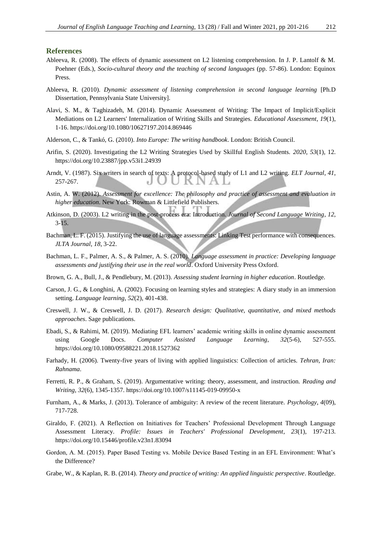#### **References**

- <span id="page-11-3"></span>Ableeva, R. (2008). The effects of dynamic assessment on L2 listening comprehension. In J. P. Lantolf & M. Poehner (Eds.), *Socio-cultural theory and the teaching of second languages* (pp. 57-86). London: Equinox Press.
- <span id="page-11-4"></span>Ableeva, R. (2010). *Dynamic assessment of listening comprehension in second language learning* [Ph.D Dissertation, Pennsylvania State University].
- <span id="page-11-2"></span>Alavi, S. M., & Taghizadeh, M. (2014). Dynamic Assessment of Writing: The Impact of Implicit/Explicit Mediations on L2 Learners' Internalization of Writing Skills and Strategies. *Educational Assessment*, *19*(1), 1-16[. https://doi.org/10.1080/10627197.2014.869446](https://doi.org/10.1080/10627197.2014.869446)
- <span id="page-11-17"></span>Alderson, C., & Tankó, G. (2010). *Into Europe: The writing handbook*. London: British Council.
- <span id="page-11-0"></span>Arifin, S. (2020). Investigating the L2 Writing Strategies Used by Skillful English Students. *2020*, *53*(1), 12. <https://doi.org/10.23887/jpp.v53i1.24939>
- <span id="page-11-16"></span>Arndt, V. (1987). Six writers in search of texts: A protocol-based study of L1 and L2 writing. *ELT Journal*, *41*, 257-267. JUUKNA
- <span id="page-11-5"></span>Astin, A. W. (2012). *Assessment for excellence: The philosophy and practice of assessment and evaluation in higher education*. New York: Rowman & Littlefield Publishers.
- <span id="page-11-14"></span>Atkinson, D. (2003). L2 writing in the post-process era: Introduction. *Journal of Second Language Writing*, *12*, 3-15.
- <span id="page-11-9"></span>Bachman, L. F. (2015). Justifying the use of language assessments: Linking Test performance with consequences. *JLTA Journal*, *18*, 3-22.
- <span id="page-11-12"></span>Bachman, L. F., Palmer, A. S., & Palmer, A. S. (2010). *Language assessment in practice: Developing language assessments and justifying their use in the real world*. Oxford University Press Oxford.
- <span id="page-11-6"></span>Brown, G. A., Bull, J., & Pendlebury, M. (2013). *Assessing student learning in higher education*. Routledge.
- <span id="page-11-15"></span>Carson, J. G., & Longhini, A. (2002). Focusing on learning styles and strategies: A diary study in an immersion setting. *Language learning*, *52*(2), 401-438.
- <span id="page-11-8"></span>Creswell, J. W., & Creswell, J. D. (2017). *Research design: Qualitative, quantitative, and mixed methods approaches*. Sage publications.
- <span id="page-11-11"></span>Ebadi, S., & Rahimi, M. (2019). Mediating EFL learners' academic writing skills in online dynamic assessment using Google Docs. *Computer Assisted Language Learning*, *32*(5-6), 527-555. <https://doi.org/10.1080/09588221.2018.1527362>
- <span id="page-11-10"></span>Farhady, H. (2006). Twenty-five years of living with applied linguistics: Collection of articles. *Tehran, Iran: Rahnama*.
- <span id="page-11-18"></span>Ferretti, R. P., & Graham, S. (2019). Argumentative writing: theory, assessment, and instruction. *Reading and Writing*, *32*(6), 1345-1357[. https://doi.org/10.1007/s11145-019-09950-x](https://doi.org/10.1007/s11145-019-09950-x)
- <span id="page-11-19"></span>Furnham, A., & Marks, J. (2013). Tolerance of ambiguity: A review of the recent literature. *Psychology*, *4*(09), 717-728.
- <span id="page-11-1"></span>Giraldo, F. (2021). A Reflection on Initiatives for Teachers' Professional Development Through Language Assessment Literacy. *Profile: Issues in Teachers' Professional Development*, *23*(1), 197-213. <https://doi.org/10.15446/profile.v23n1.83094>
- <span id="page-11-13"></span>Gordon, A. M. (2015). Paper Based Testing vs. Mobile Device Based Testing in an EFL Environment: What's the Difference?

<span id="page-11-7"></span>Grabe, W., & Kaplan, R. B. (2014). *Theory and practice of writing: An applied linguistic perspective*. Routledge.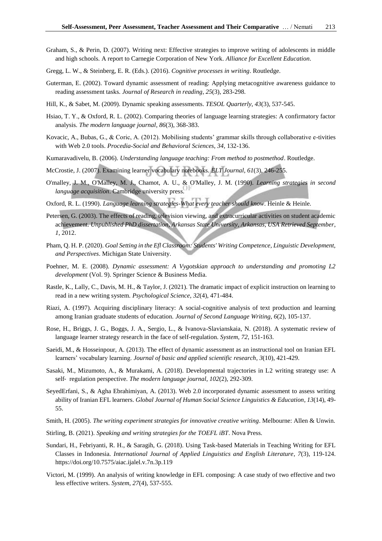- <span id="page-12-5"></span>Graham, S., & Perin, D. (2007). Writing next: Effective strategies to improve writing of adolescents in middle and high schools. A report to Carnegie Corporation of New York. *Alliance for Excellent Education*.
- <span id="page-12-0"></span>Gregg, L. W., & Steinberg, E. R. (Eds.). (2016). *Cognitive processes in writing*. Routledge.
- <span id="page-12-8"></span>Guterman, E. (2002). Toward dynamic assessment of reading: Applying metacognitive awareness guidance to reading assessment tasks. *Journal of Research in reading*, *25*(3), 283-298.
- <span id="page-12-7"></span>Hill, K., & Sabet, M. (2009). Dynamic speaking assessments. *TESOL Quarterly*, *43*(3), 537-545.
- <span id="page-12-3"></span>Hsiao, T. Y., & Oxford, R. L. (2002). Comparing theories of language learning strategies: A confirmatory factor analysis. *The modern language journal*, *86*(3), 368-383.
- <span id="page-12-9"></span>Kovacic, A., Bubas, G., & Coric, A. (2012). Mobilising students' grammar skills through collaborative e-tivities with Web 2.0 tools. *Procedia-Social and Behavioral Sciences*, *34*, 132-136.
- <span id="page-12-11"></span>Kumaravadivelu, B. (2006). *Understanding language teaching: From method to postmethod*. Routledge.
- <span id="page-12-2"></span>McCrostie, J. (2007). Examining learner vocabulary notebooks. *ELT Journal*, *61*(3), 246-255.
- <span id="page-12-13"></span>O'malley, J. M., O'Malley, M. J., Chamot, A. U., & O'Malley, J. M. (1990). *Learning strategies in second language acquisition*. Cambridge university press.
- <span id="page-12-14"></span>Oxford, R. L. (1990). *Language learning strategies-What every teacher should know*. Heinle & Heinle.
- <span id="page-12-16"></span>Petersen, G. (2003). The effects of reading, television viewing, and extracurricular activities on student academic achievement. *Unpublished PhD dissertation, Arkansas State University, Arkansas, USA Retrieved September*, *1*, 2012.
- <span id="page-12-15"></span>Pham, Q. H. P. (2020). *Goal Setting in the Efl Classroom: Students' Writing Competence, Linguistic Development, and Perspectives*. Michigan State University.
- <span id="page-12-12"></span>Poehner, M. E. (2008). *Dynamic assessment: A Vygotskian approach to understanding and promoting L2 development* (Vol. 9). Springer Science & Business Media.
- <span id="page-12-1"></span>Rastle, K., Lally, C., Davis, M. H., & Taylor, J. (2021). The dramatic impact of explicit instruction on learning to read in a new writing system. *Psychological Science*, *32*(4), 471-484.
- <span id="page-12-19"></span>Riazi, A. (1997). Acquiring disciplinary literacy: A social-cognitive analysis of text production and learning among Iranian graduate students of education. *Journal of Second Language Writing*, *6*(2), 105-137.
- <span id="page-12-21"></span>Rose, H., Briggs, J. G., Boggs, J. A., Sergio, L., & Ivanova-Slavianskaia, N. (2018). A systematic review of language learner strategy research in the face of self-regulation. *System*, *72*, 151-163.
- <span id="page-12-10"></span>Saeidi, M., & Hosseinpour, A. (2013). The effect of dynamic assessment as an instructional tool on Iranian EFL learners' vocabulary learning. *Journal of basic and applied scientific research*, *3*(10), 421-429.
- <span id="page-12-22"></span>Sasaki, M., Mizumoto, A., & Murakami, A. (2018). Developmental trajectories in L2 writing strategy use: A self‐ regulation perspective. *The modern language journal*, *102*(2), 292-309.
- <span id="page-12-6"></span>SeyedErfani, S., & Agha Ebrahimiyan, A. (2013). Web 2.0 incorporated dynamic assessment to assess writing ability of Iranian EFL learners. *Global Journal of Human Social Science Linguistics & Education*, *13*(14), 49- 55.
- <span id="page-12-18"></span>Smith, H. (2005). *The writing experiment strategies for innovative creative writing*. Melbourne: Allen & Unwin.
- <span id="page-12-4"></span>Stirling, B. (2021). *Speaking and writing strategies for the TOEFL iBT*. Nova Press.
- <span id="page-12-17"></span>Sundari, H., Febriyanti, R. H., & Saragih, G. (2018). Using Task-based Materials in Teaching Writing for EFL Classes in Indonesia. *International Journal of Applied Linguistics and English Literature*, *7*(3), 119-124. <https://doi.org/10.7575/aiac.ijalel.v.7n.3p.119>
- <span id="page-12-20"></span>Victori, M. (1999). An analysis of writing knowledge in EFL composing: A case study of two effective and two less effective writers. *System*, *27*(4), 537-555.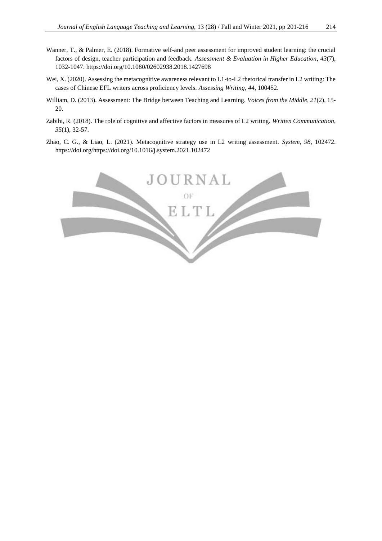- <span id="page-13-0"></span>Wanner, T., & Palmer, E. (2018). Formative self-and peer assessment for improved student learning: the crucial factors of design, teacher participation and feedback. *Assessment & Evaluation in Higher Education*, *43*(7), 1032-1047[. https://doi.org/10.1080/02602938.2018.1427698](https://doi.org/10.1080/02602938.2018.1427698)
- <span id="page-13-2"></span>Wei, X. (2020). Assessing the metacognitive awareness relevant to L1-to-L2 rhetorical transfer in L2 writing: The cases of Chinese EFL writers across proficiency levels. *Assessing Writing*, *44*, 100452.
- <span id="page-13-1"></span>William, D. (2013). Assessment: The Bridge between Teaching and Learning. *Voices from the Middle*, *21*(2), 15- 20.
- <span id="page-13-3"></span>Zabihi, R. (2018). The role of cognitive and affective factors in measures of L2 writing. *Written Communication*, *35*(1), 32-57.
- <span id="page-13-4"></span>Zhao, C. G., & Liao, L. (2021). Metacognitive strategy use in L2 writing assessment. *System*, *98*, 102472. [https://doi.org/https://doi.org/10.1016/j.system.2021.102472](https://doi.org/https:/doi.org/10.1016/j.system.2021.102472)

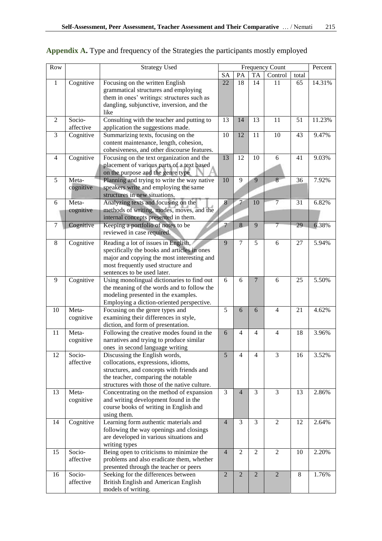| Row            |           | <b>Strategy Used</b>                                                            | Frequency Count |                |                | Percent        |       |        |
|----------------|-----------|---------------------------------------------------------------------------------|-----------------|----------------|----------------|----------------|-------|--------|
|                |           |                                                                                 | <b>SA</b>       | PA             | <b>TA</b>      | Control        | total |        |
| $\mathbf{1}$   | Cognitive | Focusing on the written English                                                 | 22              | 18             | 14             | 11             | 65    | 14.31% |
|                |           | grammatical structures and employing                                            |                 |                |                |                |       |        |
|                |           | them in ones' writings: structures such as                                      |                 |                |                |                |       |        |
|                |           | dangling, subjunctive, inversion, and the                                       |                 |                |                |                |       |        |
|                |           | like                                                                            |                 |                |                |                |       |        |
| $\overline{2}$ | Socio-    | Consulting with the teacher and putting to                                      | 13              | 14             | 13             | 11             | 51    | 11.23% |
|                | affective | application the suggestions made.                                               |                 |                |                |                |       |        |
| 3              | Cognitive | Summarizing texts, focusing on the                                              | 10              | 12             | 11             | 10             | 43    | 9.47%  |
|                |           | content maintenance, length, cohesion,                                          |                 |                |                |                |       |        |
|                |           | cohesiveness, and other discourse features.                                     |                 |                |                |                |       |        |
| $\overline{4}$ | Cognitive | Focusing on the text organization and the                                       | 13              | 12             | 10             | 6              | 41    | 9.03%  |
|                |           | placement of various parts of a text based                                      |                 |                |                |                |       |        |
|                |           | on the purpose and the genre type                                               |                 |                |                |                |       |        |
| 5              | Meta-     | Planning and trying to write the way native                                     | 10              | 9              | 9              | $\overline{8}$ | 36    | 7.92%  |
|                | cognitive | speakers write and employing the same                                           |                 |                |                |                |       |        |
|                |           | structures in new situations.                                                   |                 |                |                |                |       |        |
| 6              | Meta-     | Analyzing texts and focusing on the                                             | $\overline{8}$  | $\overline{7}$ | 10             | 7              | 31    | 6.82%  |
|                | cognitive | methods of writing, modes, moves, and the                                       |                 |                |                |                |       |        |
|                |           | internal concepts presented in them.                                            |                 |                |                |                |       |        |
| 7              | Cognitive | Keeping a portfolio of notes to be                                              | 7               | 8              | 9              | $\overline{7}$ | 29    | 6.38%  |
|                |           | reviewed in case required.                                                      |                 |                |                |                |       |        |
|                |           |                                                                                 |                 |                |                |                |       |        |
| 8              | Cognitive | Reading a lot of issues in English,                                             | 9               | $\overline{7}$ | 5              | 6              | 27    | 5.94%  |
|                |           | specifically the books and articles in ones                                     |                 |                |                |                |       |        |
|                |           | major and copying the most interesting and                                      |                 |                |                |                |       |        |
|                |           | most frequently used structure and                                              |                 |                |                |                |       |        |
| 9              |           | sentences to be used later.                                                     |                 | 6              | $\overline{7}$ | 6              | 25    | 5.50%  |
|                | Cognitive | Using monolingual dictionaries to find out                                      | 6               |                |                |                |       |        |
|                |           | the meaning of the words and to follow the                                      |                 |                |                |                |       |        |
|                |           | modeling presented in the examples.                                             |                 |                |                |                |       |        |
| 10             | Meta-     | Employing a diction-oriented perspective.<br>Focusing on the genre types and    | 5               | 6              | 6              | $\overline{4}$ | 21    | 4.62%  |
|                |           | examining their differences in style,                                           |                 |                |                |                |       |        |
|                | cognitive |                                                                                 |                 |                |                |                |       |        |
| 11             | Meta-     | diction, and form of presentation.<br>Following the creative modes found in the |                 | 4              | 4              | $\overline{4}$ | 18    | 3.96%  |
|                | cognitive | narratives and trying to produce similar                                        | 6               |                |                |                |       |        |
|                |           | ones in second language writing                                                 |                 |                |                |                |       |        |
| 12             | Socio-    | Discussing the English words,                                                   | $\overline{5}$  | $\overline{4}$ | $\overline{4}$ | $\overline{3}$ | 16    | 3.52%  |
|                | affective | collocations, expressions, idioms,                                              |                 |                |                |                |       |        |
|                |           | structures, and concepts with friends and                                       |                 |                |                |                |       |        |
|                |           | the teacher, comparing the notable                                              |                 |                |                |                |       |        |
|                |           | structures with those of the native culture.                                    |                 |                |                |                |       |        |
| 13             | Meta-     | Concentrating on the method of expansion                                        | 3               | $\overline{4}$ | 3              | 3              | 13    | 2.86%  |
|                | cognitive | and writing development found in the                                            |                 |                |                |                |       |        |
|                |           | course books of writing in English and                                          |                 |                |                |                |       |        |
|                |           | using them.                                                                     |                 |                |                |                |       |        |
| 14             | Cognitive | Learning form authentic materials and                                           | $\overline{4}$  | 3              | 3              | $\overline{2}$ | 12    | 2.64%  |
|                |           | following the way openings and closings                                         |                 |                |                |                |       |        |
|                |           | are developed in various situations and                                         |                 |                |                |                |       |        |
|                |           | writing types                                                                   |                 |                |                |                |       |        |
| 15             | Socio-    | Being open to criticisms to minimize the                                        | $\overline{4}$  | $\overline{2}$ | $\overline{2}$ | $\overline{2}$ | 10    | 2.20%  |
|                | affective | problems and also eradicate them, whether                                       |                 |                |                |                |       |        |
|                |           | presented through the teacher or peers                                          |                 |                |                |                |       |        |
| 16             | Socio-    | Seeking for the differences between                                             | $\overline{2}$  | $\overline{2}$ | $\overline{2}$ | $\overline{2}$ | $8\,$ | 1.76%  |
|                | affective | British English and American English                                            |                 |                |                |                |       |        |
|                |           | models of writing.                                                              |                 |                |                |                |       |        |

# **Appendix A.** Type and frequency of the Strategies the participants mostly employed